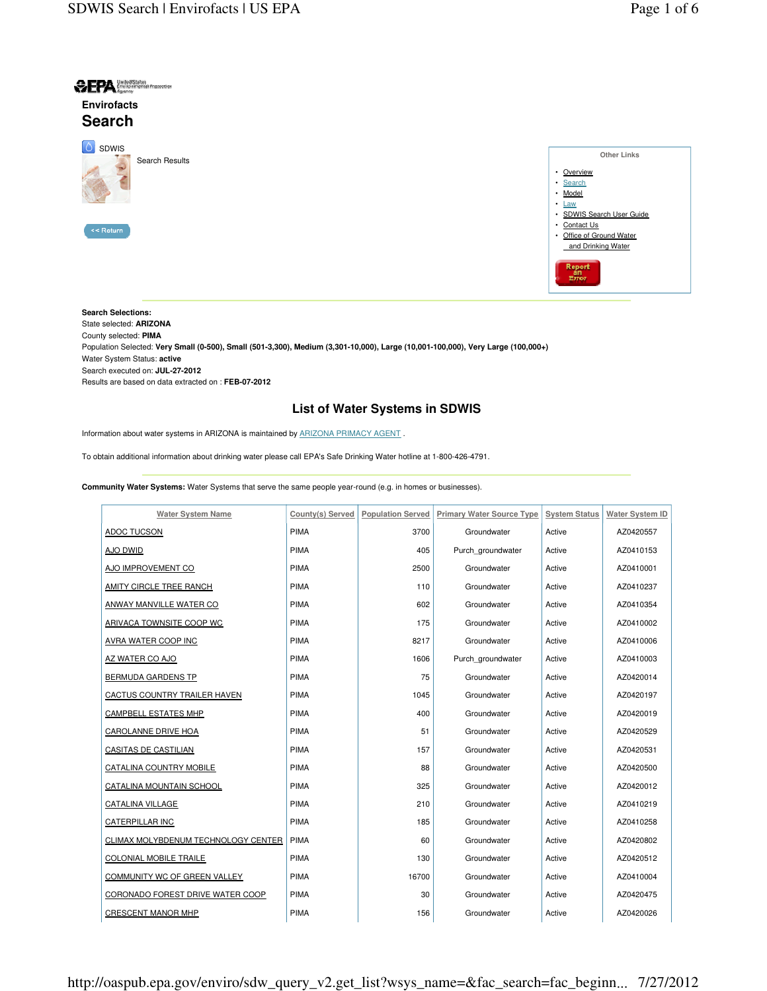**Other Links**



**Search Selections:**  State selected: **ARIZONA**  County selected: **PIMA**  Population Selected: **Very Small (0-500), Small (501-3,300), Medium (3,301-10,000), Large (10,001-100,000), Very Large (100,000+)**  Water System Status: **active**  Search executed on: **JUL-27-2012** Results are based on data extracted on : **FEB-07-2012**

## **List of Water Systems in SDWIS**

Information about water systems in ARIZONA is maintained by ARIZONA PRIMACY AGENT .

To obtain additional information about drinking water please call EPA's Safe Drinking Water hotline at 1-800-426-4791.

**Community Water Systems:** Water Systems that serve the same people year-round (e.g. in homes or businesses).

| <b>Water System Name</b>            | County(s) Served | <b>Population Served</b> | <b>Primary Water Source Type</b> | <b>System Status</b> | <b>Water System ID</b> |
|-------------------------------------|------------------|--------------------------|----------------------------------|----------------------|------------------------|
| ADOC TUCSON                         | PIMA             | 3700                     | Groundwater                      | Active               | AZ0420557              |
| AJO DWID                            | <b>PIMA</b>      | 405                      | Purch groundwater                | Active               | AZ0410153              |
| AJO IMPROVEMENT CO                  | <b>PIMA</b>      | 2500                     | Groundwater                      | Active               | AZ0410001              |
| AMITY CIRCLE TREE RANCH             | <b>PIMA</b>      | 110                      | Groundwater                      | Active               | AZ0410237              |
| ANWAY MANVILLE WATER CO             | PIMA             | 602                      | Groundwater                      | Active               | AZ0410354              |
| ARIVACA TOWNSITE COOP WC            | <b>PIMA</b>      | 175                      | Groundwater                      | Active               | AZ0410002              |
| <b>AVRA WATER COOP INC</b>          | <b>PIMA</b>      | 8217                     | Groundwater                      | Active               | AZ0410006              |
| AZ WATER CO AJO                     | PIMA             | 1606                     | Purch groundwater                | Active               | AZ0410003              |
| BERMUDA GARDENS TP                  | <b>PIMA</b>      | 75                       | Groundwater                      | Active               | AZ0420014              |
| CACTUS COUNTRY TRAILER HAVEN        | PIMA             | 1045                     | Groundwater                      | Active               | AZ0420197              |
| <b>CAMPBELL ESTATES MHP</b>         | <b>PIMA</b>      | 400                      | Groundwater                      | Active               | AZ0420019              |
| CAROLANNE DRIVE HOA                 | <b>PIMA</b>      | 51                       | Groundwater                      | Active               | AZ0420529              |
| CASITAS DE CASTILIAN                | PIMA             | 157                      | Groundwater                      | Active               | AZ0420531              |
| CATALINA COUNTRY MOBILE             | <b>PIMA</b>      | 88                       | Groundwater                      | Active               | AZ0420500              |
| CATALINA MOUNTAIN SCHOOL            | <b>PIMA</b>      | 325                      | Groundwater                      | Active               | AZ0420012              |
| CATALINA VILLAGE                    | <b>PIMA</b>      | 210                      | Groundwater                      | Active               | AZ0410219              |
| CATERPILLAR INC                     | PIMA             | 185                      | Groundwater                      | Active               | AZ0410258              |
| CLIMAX MOLYBDENUM TECHNOLOGY CENTER | <b>PIMA</b>      | 60                       | Groundwater                      | Active               | AZ0420802              |
| <b>COLONIAL MOBILE TRAILE</b>       | PIMA             | 130                      | Groundwater                      | Active               | AZ0420512              |
| COMMUNITY WC OF GREEN VALLEY        | PIMA             | 16700                    | Groundwater                      | Active               | AZ0410004              |
| CORONADO FOREST DRIVE WATER COOP    | PIMA             | 30                       | Groundwater                      | Active               | AZ0420475              |
| <b>CRESCENT MANOR MHP</b>           | <b>PIMA</b>      | 156                      | Groundwater                      | Active               | AZ0420026              |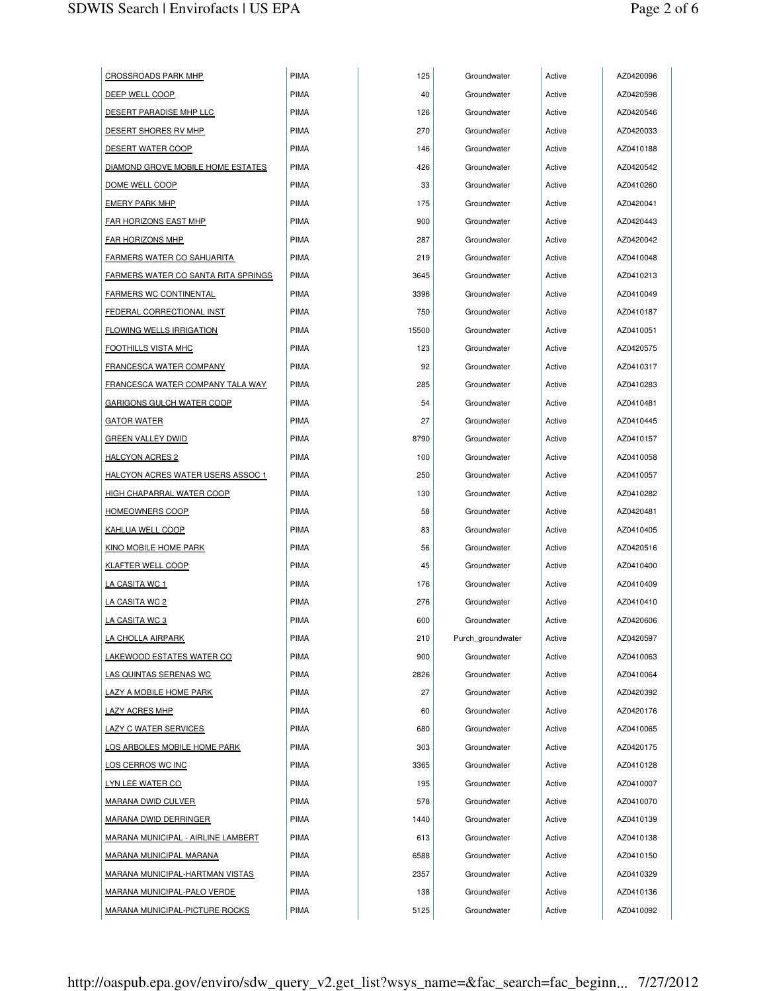| <b>CROSSROADS PARK MHP</b>                 | PIMA        | 125   | Groundwater       | Active | AZ0420096 |
|--------------------------------------------|-------------|-------|-------------------|--------|-----------|
| DEEP WELL COOP                             | <b>PIMA</b> | 40    | Groundwater       | Active | AZ0420598 |
| DESERT PARADISE MHP LLC                    | <b>PIMA</b> | 126   | Groundwater       | Active | AZ0420546 |
| DESERT SHORES RV MHP                       | <b>PIMA</b> | 270   | Groundwater       | Active | AZ0420033 |
| <b>DESERT WATER COOP</b>                   | <b>PIMA</b> | 146   | Groundwater       | Active | AZ0410188 |
| DIAMOND GROVE MOBILE HOME ESTATES          | <b>PIMA</b> | 426   | Groundwater       | Active | AZ0420542 |
| DOME WELL COOP                             | <b>PIMA</b> | 33    | Groundwater       | Active | AZ0410260 |
| <b>EMERY PARK MHP</b>                      | <b>PIMA</b> | 175   | Groundwater       | Active | AZ0420041 |
| <b>FAR HORIZONS EAST MHP</b>               | PIMA        | 900   | Groundwater       | Active | AZ0420443 |
| <b>FAR HORIZONS MHP</b>                    | <b>PIMA</b> | 287   | Groundwater       | Active | AZ0420042 |
| <u>FARMERS WATER CO SAHUARITA</u>          | <b>PIMA</b> | 219   | Groundwater       | Active | AZ0410048 |
| <b>FARMERS WATER CO SANTA RITA SPRINGS</b> | <b>PIMA</b> | 3645  | Groundwater       | Active | AZ0410213 |
| <b>FARMERS WC CONTINENTAL</b>              | <b>PIMA</b> | 3396  | Groundwater       | Active | AZ0410049 |
| FEDERAL CORRECTIONAL INST                  | PIMA        | 750   | Groundwater       | Active | AZ0410187 |
| <b>FLOWING WELLS IRRIGATION</b>            | <b>PIMA</b> | 15500 | Groundwater       | Active | AZ0410051 |
| <b>FOOTHILLS VISTA MHC</b>                 | <b>PIMA</b> | 123   | Groundwater       | Active | AZ0420575 |
| <b>FRANCESCA WATER COMPANY</b>             | PIMA        | 92    | Groundwater       | Active | AZ0410317 |
| <b>FRANCESCA WATER COMPANY TALA WAY</b>    | <b>PIMA</b> | 285   | Groundwater       | Active | AZ0410283 |
| GARIGONS GULCH WATER COOP                  | <b>PIMA</b> | 54    | Groundwater       | Active | AZ0410481 |
| <u>GATOR WATER</u>                         | <b>PIMA</b> | 27    | Groundwater       | Active | AZ0410445 |
| <u>GREEN VALLEY DWID</u>                   | <b>PIMA</b> | 8790  | Groundwater       | Active | AZ0410157 |
| <b>HALCYON ACRES 2</b>                     | <b>PIMA</b> | 100   | Groundwater       | Active | AZ0410058 |
| <u>HALCYON ACRES WATER USERS ASSOC 1</u>   | <b>PIMA</b> | 250   | Groundwater       | Active | AZ0410057 |
| <u>HIGH CHAPARRAL WATER COOP</u>           | PIMA        | 130   | Groundwater       | Active | AZ0410282 |
| <b>HOMEOWNERS COOP</b>                     | <b>PIMA</b> | 58    | Groundwater       | Active | AZ0420481 |
| KAHLUA WELL COOP                           | <b>PIMA</b> | 83    | Groundwater       | Active | AZ0410405 |
| <u>KINO MOBILE HOME PARK</u>               | <b>PIMA</b> | 56    | Groundwater       | Active | AZ0420516 |
| KLAFTER WELL COOP                          | <b>PIMA</b> | 45    | Groundwater       | Active | AZ0410400 |
| <u>LA CASITA WC 1</u>                      | <b>PIMA</b> | 176   | Groundwater       | Active | AZ0410409 |
| LA CASITA WC 2                             | <b>PIMA</b> | 276   | Groundwater       | Active | AZ0410410 |
| LA CASITA WC 3                             | <b>PIMA</b> | 600   | Groundwater       | Active | AZ0420606 |
| LA CHOLLA AIRPARK                          | PIMA        | 210   | Purch groundwater | Active | AZ0420597 |
| LAKEWOOD ESTATES WATER CO                  | PIMA        | 900   | Groundwater       | Active | AZ0410063 |
| LAS QUINTAS SERENAS WC                     | <b>PIMA</b> | 2826  | Groundwater       | Active | AZ0410064 |
| LAZY A MOBILE HOME PARK                    | <b>PIMA</b> | 27    | Groundwater       | Active | AZ0420392 |
| <b>LAZY ACRES MHP</b>                      | <b>PIMA</b> | 60    | Groundwater       | Active | AZ0420176 |
| <b>LAZY C WATER SERVICES</b>               | <b>PIMA</b> | 680   | Groundwater       | Active | AZ0410065 |
| <u>LOS ARBOLES MOBILE HOME PARK</u>        | PIMA        | 303   | Groundwater       | Active | AZ0420175 |
| LOS CERROS WC INC                          | PIMA        | 3365  | Groundwater       | Active | AZ0410128 |
| <u>LYN LEE WATER CO</u>                    | <b>PIMA</b> | 195   | Groundwater       | Active | AZ0410007 |
| <u>MARANA DWID CULVER</u>                  | <b>PIMA</b> | 578   | Groundwater       | Active | AZ0410070 |
| <b>MARANA DWID DERRINGER</b>               | PIMA        | 1440  | Groundwater       | Active | AZ0410139 |
| <b>MARANA MUNICIPAL - AIRLINE LAMBERT</b>  | PIMA        | 613   | Groundwater       | Active | AZ0410138 |
| <u>MARANA MUNICIPAL MARANA</u>             | <b>PIMA</b> | 6588  | Groundwater       | Active | AZ0410150 |
| <b>MARANA MUNICIPAL-HARTMAN VISTAS</b>     | PIMA        | 2357  | Groundwater       | Active | AZ0410329 |
| <u>MARANA MUNICIPAL-PALO VERDE</u>         | <b>PIMA</b> | 138   | Groundwater       | Active | AZ0410136 |
| <u>MARANA MUNICIPAL-PICTURE ROCKS</u>      | <b>PIMA</b> | 5125  | Groundwater       | Active | AZ0410092 |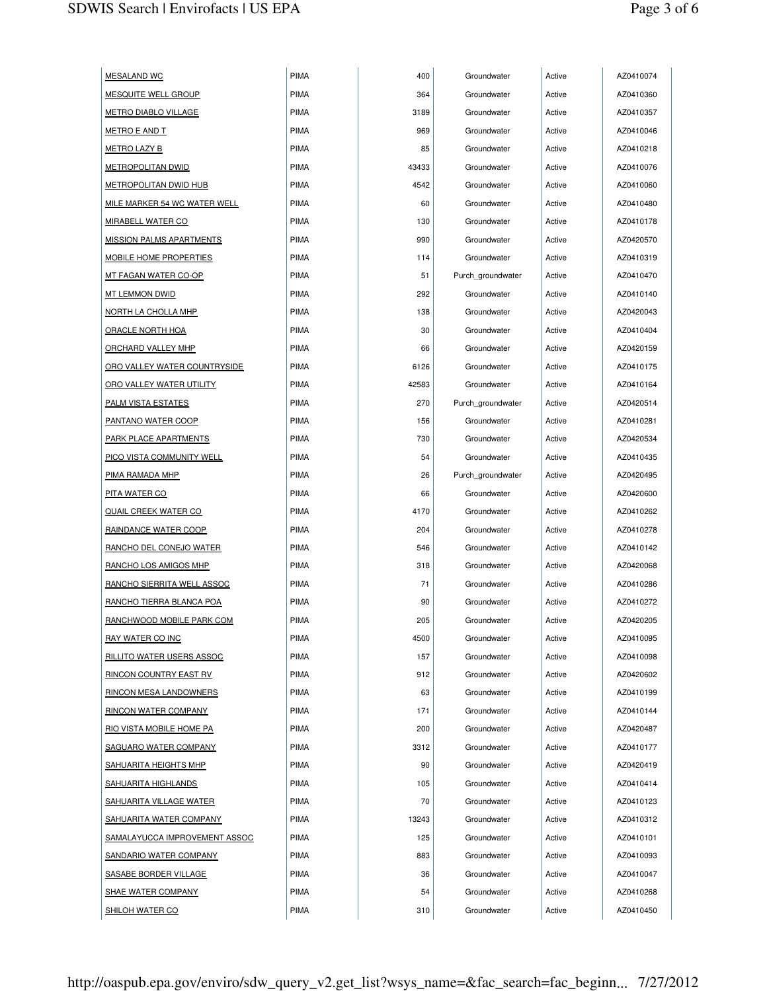| <b>MESALAND WC</b>               | PIMA        | 400   | Groundwater       | Active | AZ0410074 |
|----------------------------------|-------------|-------|-------------------|--------|-----------|
| <b>MESQUITE WELL GROUP</b>       | <b>PIMA</b> | 364   | Groundwater       | Active | AZ0410360 |
| <b>METRO DIABLO VILLAGE</b>      | <b>PIMA</b> | 3189  | Groundwater       | Active | AZ0410357 |
| <u>METRO E AND T</u>             | <b>PIMA</b> | 969   | Groundwater       | Active | AZ0410046 |
| <b>METRO LAZY B</b>              | <b>PIMA</b> | 85    | Groundwater       | Active | AZ0410218 |
| <b>METROPOLITAN DWID</b>         | <b>PIMA</b> | 43433 | Groundwater       | Active | AZ0410076 |
| <b>METROPOLITAN DWID HUB</b>     | <b>PIMA</b> | 4542  | Groundwater       | Active | AZ0410060 |
| MILE MARKER 54 WC WATER WELL     | <b>PIMA</b> | 60    | Groundwater       | Active | AZ0410480 |
| <b>MIRABELL WATER CO</b>         | <b>PIMA</b> | 130   | Groundwater       | Active | AZ0410178 |
| <u>MISSION PALMS APARTMENTS</u>  | <b>PIMA</b> | 990   | Groundwater       | Active | AZ0420570 |
| <b>MOBILE HOME PROPERTIES</b>    | <b>PIMA</b> | 114   | Groundwater       | Active | AZ0410319 |
| MT FAGAN WATER CO-OP             | <b>PIMA</b> | 51    | Purch_groundwater | Active | AZ0410470 |
| <b>MT LEMMON DWID</b>            | <b>PIMA</b> | 292   | Groundwater       | Active | AZ0410140 |
| NORTH LA CHOLLA MHP              | <b>PIMA</b> | 138   | Groundwater       | Active | AZ0420043 |
| <b>ORACLE NORTH HOA</b>          | <b>PIMA</b> | 30    | Groundwater       | Active | AZ0410404 |
| <b>ORCHARD VALLEY MHP</b>        | PIMA        | 66    | Groundwater       | Active | AZ0420159 |
| ORO VALLEY WATER COUNTRYSIDE     | <b>PIMA</b> | 6126  | Groundwater       | Active | AZ0410175 |
| ORO VALLEY WATER UTILITY         | <b>PIMA</b> | 42583 | Groundwater       | Active | AZ0410164 |
| <b>PALM VISTA ESTATES</b>        | <b>PIMA</b> | 270   | Purch groundwater | Active | AZ0420514 |
| <b>PANTANO WATER COOP</b>        | <b>PIMA</b> | 156   | Groundwater       | Active | AZ0410281 |
| PARK PLACE APARTMENTS            | PIMA        | 730   | Groundwater       | Active | AZ0420534 |
| <b>PICO VISTA COMMUNITY WELL</b> | <b>PIMA</b> | 54    | Groundwater       | Active | AZ0410435 |
| PIMA RAMADA MHP                  | <b>PIMA</b> | 26    | Purch groundwater | Active | AZ0420495 |
| <u>PITA WATER CO</u>             | <b>PIMA</b> | 66    | Groundwater       | Active | AZ0420600 |
| <u>QUAIL CREEK WATER CO</u>      | <b>PIMA</b> | 4170  | Groundwater       | Active | AZ0410262 |
| RAINDANCE WATER COOP             | <b>PIMA</b> | 204   | Groundwater       | Active | AZ0410278 |
| <b>RANCHO DEL CONEJO WATER</b>   | <b>PIMA</b> | 546   | Groundwater       | Active | AZ0410142 |
| RANCHO LOS AMIGOS MHP            | <b>PIMA</b> | 318   | Groundwater       | Active | AZ0420068 |
| RANCHO SIERRITA WELL ASSOC       | PIMA        | 71    | Groundwater       | Active | AZ0410286 |
| RANCHO TIERRA BLANCA POA         | <b>PIMA</b> | 90    | Groundwater       | Active | AZ0410272 |
| <u>RANCHWOOD MOBILE PARK COM</u> | <b>PIMA</b> | 205   | Groundwater       | Active | AZ0420205 |
| <b>RAY WATER CO INC</b>          | PIMA        | 4500  | Groundwater       | Active | AZ0410095 |
| <b>RILLITO WATER USERS ASSOC</b> | PIMA        | 157   | Groundwater       | Active | AZ0410098 |
| <b>RINCON COUNTRY EAST RV</b>    | <b>PIMA</b> | 912   | Groundwater       | Active | AZ0420602 |
| <b>RINCON MESA LANDOWNERS</b>    | PIMA        | 63    | Groundwater       | Active | AZ0410199 |
| <b>RINCON WATER COMPANY</b>      | <b>PIMA</b> | 171   | Groundwater       | Active | AZ0410144 |
| RIO VISTA MOBILE HOME PA         | <b>PIMA</b> | 200   | Groundwater       | Active | AZ0420487 |
| SAGUARO WATER COMPANY            | PIMA        | 3312  | Groundwater       | Active | AZ0410177 |
| SAHUARITA HEIGHTS MHP            | PIMA        | 90    | Groundwater       | Active | AZ0420419 |
| SAHUARITA HIGHLANDS              | PIMA        | 105   | Groundwater       | Active | AZ0410414 |
| <b>SAHUARITA VILLAGE WATER</b>   | <b>PIMA</b> | 70    | Groundwater       | Active | AZ0410123 |
| SAHUARITA WATER COMPANY          | PIMA        | 13243 | Groundwater       | Active | AZ0410312 |
| SAMALAYUCCA IMPROVEMENT ASSOC    | PIMA        | 125   | Groundwater       | Active | AZ0410101 |
| <b>SANDARIO WATER COMPANY</b>    | <b>PIMA</b> | 883   | Groundwater       | Active | AZ0410093 |
| <b>SASABE BORDER VILLAGE</b>     | PIMA        | 36    | Groundwater       | Active | AZ0410047 |
| <b>SHAE WATER COMPANY</b>        | <b>PIMA</b> | 54    | Groundwater       | Active | AZ0410268 |
| <b>SHILOH WATER CO</b>           | PIMA        | 310   | Groundwater       | Active | AZ0410450 |
|                                  |             |       |                   |        |           |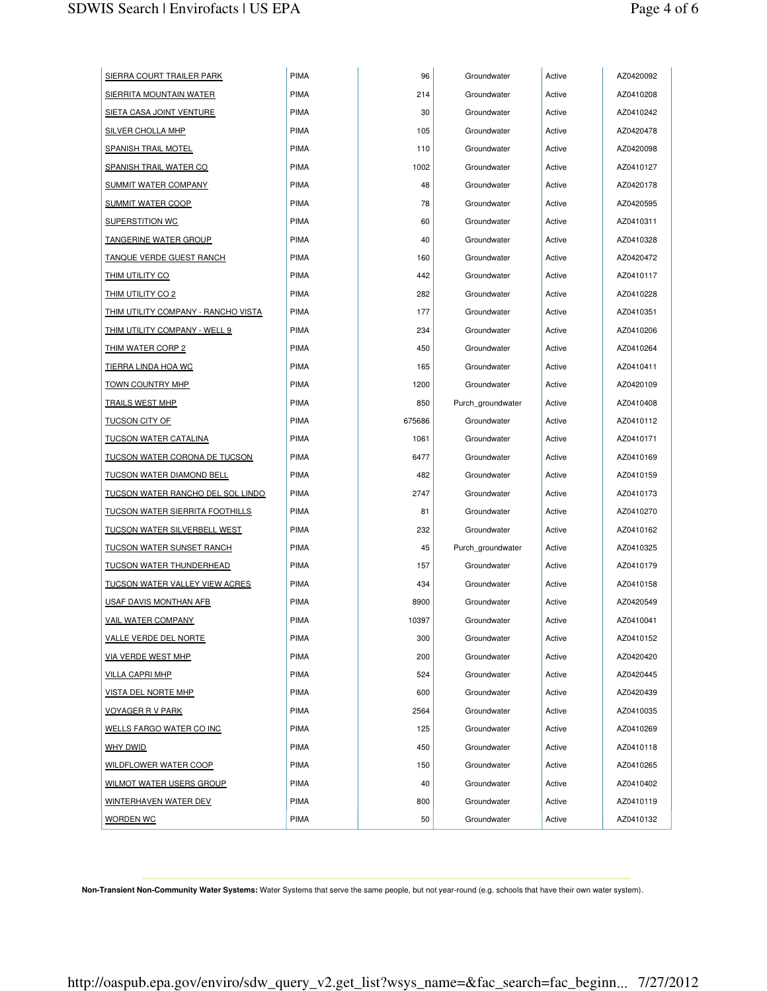| SIERRA COURT TRAILER PARK                  | PIMA        | 96     | Groundwater       | Active | AZ0420092 |
|--------------------------------------------|-------------|--------|-------------------|--------|-----------|
| <u>SIERRITA MOUNTAIN WATER</u>             | <b>PIMA</b> | 214    | Groundwater       | Active | AZ0410208 |
| <u>SIETA CASA JOINT VENTURE</u>            | <b>PIMA</b> | 30     | Groundwater       | Active | AZ0410242 |
| <u>SILVER CHOLLA MHP</u>                   | <b>PIMA</b> | 105    | Groundwater       | Active | AZ0420478 |
| <u>SPANISH TRAIL MOTEL</u>                 | PIMA        | 110    | Groundwater       | Active | AZ0420098 |
| <u>SPANISH TRAIL WATER CO</u>              | <b>PIMA</b> | 1002   | Groundwater       | Active | AZ0410127 |
| <u>SUMMIT WATER COMPANY</u>                | <b>PIMA</b> | 48     | Groundwater       | Active | AZ0420178 |
| <b>SUMMIT WATER COOP</b>                   | <b>PIMA</b> | 78     | Groundwater       | Active | AZ0420595 |
| <b>SUPERSTITION WC</b>                     | <b>PIMA</b> | 60     | Groundwater       | Active | AZ0410311 |
| <u>TANGERINE WATER GROUP</u>               | <b>PIMA</b> | 40     | Groundwater       | Active | AZ0410328 |
| <u>TANQUE VERDE GUEST RANCH</u>            | <b>PIMA</b> | 160    | Groundwater       | Active | AZ0420472 |
| <u>THIM UTILITY CO</u>                     | <b>PIMA</b> | 442    | Groundwater       | Active | AZ0410117 |
| <u>THIM UTILITY CO 2</u>                   | <b>PIMA</b> | 282    | Groundwater       | Active | AZ0410228 |
| <u>THIM UTILITY COMPANY - RANCHO VISTA</u> | <b>PIMA</b> | 177    | Groundwater       | Active | AZ0410351 |
| <u>THIM UTILITY COMPANY - WELL 9</u>       | <b>PIMA</b> | 234    | Groundwater       | Active | AZ0410206 |
| <u>THIM WATER CORP 2</u>                   | <b>PIMA</b> | 450    | Groundwater       | Active | AZ0410264 |
| <u>TIERRA LINDA HOA WC</u>                 | <b>PIMA</b> | 165    | Groundwater       | Active | AZ0410411 |
| <u>TOWN COUNTRY MHP</u>                    | <b>PIMA</b> | 1200   | Groundwater       | Active | AZ0420109 |
| <u>TRAILS WEST MHP</u>                     | <b>PIMA</b> | 850    | Purch groundwater | Active | AZ0410408 |
| <u>TUCSON CITY OF</u>                      | <b>PIMA</b> | 675686 | Groundwater       | Active | AZ0410112 |
| <u>TUCSON WATER CATALINA</u>               | <b>PIMA</b> | 1061   | Groundwater       | Active | AZ0410171 |
| <u>TUCSON WATER CORONA DE TUCSON</u>       | <b>PIMA</b> | 6477   | Groundwater       | Active | AZ0410169 |
| <u>TUCSON WATER DIAMOND BELL</u>           | <b>PIMA</b> | 482    | Groundwater       | Active | AZ0410159 |
| <u>TUCSON WATER RANCHO DEL SOL LINDO</u>   | <b>PIMA</b> | 2747   | Groundwater       | Active | AZ0410173 |
| <u>TUCSON WATER SIERRITA FOOTHILLS</u>     | <b>PIMA</b> | 81     | Groundwater       | Active | AZ0410270 |
| <u>TUCSON WATER SILVERBELL WEST</u>        | <b>PIMA</b> | 232    | Groundwater       | Active | AZ0410162 |
| <u>TUCSON WATER SUNSET RANCH</u>           | <b>PIMA</b> | 45     | Purch_groundwater | Active | AZ0410325 |
| TUCSON WATER THUNDERHEAD                   | <b>PIMA</b> | 157    | Groundwater       | Active | AZ0410179 |
| <u>TUCSON WATER VALLEY VIEW ACRES</u>      | <b>PIMA</b> | 434    | Groundwater       | Active | AZ0410158 |
| USAF DAVIS MONTHAN AFB                     | <b>PIMA</b> | 8900   | Groundwater       | Active | AZ0420549 |
| <u>VAIL WATER COMPANY</u>                  | <b>PIMA</b> | 10397  | Groundwater       | Active | AZ0410041 |
| <b>VALLE VERDE DEL NORTE</b>               | PIMA        | 300    | Groundwater       | Active | AZ0410152 |
| <u>VIA VERDE WEST MHP</u>                  | PIMA        | 200    | Groundwater       | Active | AZ0420420 |
| <u>VILLA CAPRI MHP</u>                     | PIMA        | 524    | Groundwater       | Active | AZ0420445 |
| <b>VISTA DEL NORTE MHP</b>                 | <b>PIMA</b> | 600    | Groundwater       | Active | AZ0420439 |
| <u>VOYAGER R V PARK</u>                    | PIMA        | 2564   | Groundwater       | Active | AZ0410035 |
| <b>WELLS FARGO WATER CO INC</b>            | PIMA        | 125    | Groundwater       | Active | AZ0410269 |
| <u>why dwid</u>                            | PIMA        | 450    | Groundwater       | Active | AZ0410118 |
| WILDFLOWER WATER COOP                      | PIMA        | 150    | Groundwater       | Active | AZ0410265 |
| <b>WILMOT WATER USERS GROUP</b>            | <b>PIMA</b> | 40     | Groundwater       | Active | AZ0410402 |
| <u>WINTERHAVEN WATER DEV</u>               | <b>PIMA</b> | 800    | Groundwater       | Active | AZ0410119 |
| <u>WORDEN WC</u>                           | <b>PIMA</b> | 50     | Groundwater       | Active | AZ0410132 |

**Non-Transient Non-Community Water Systems:** Water Systems that serve the same people, but not year-round (e.g. schools that have their own water system).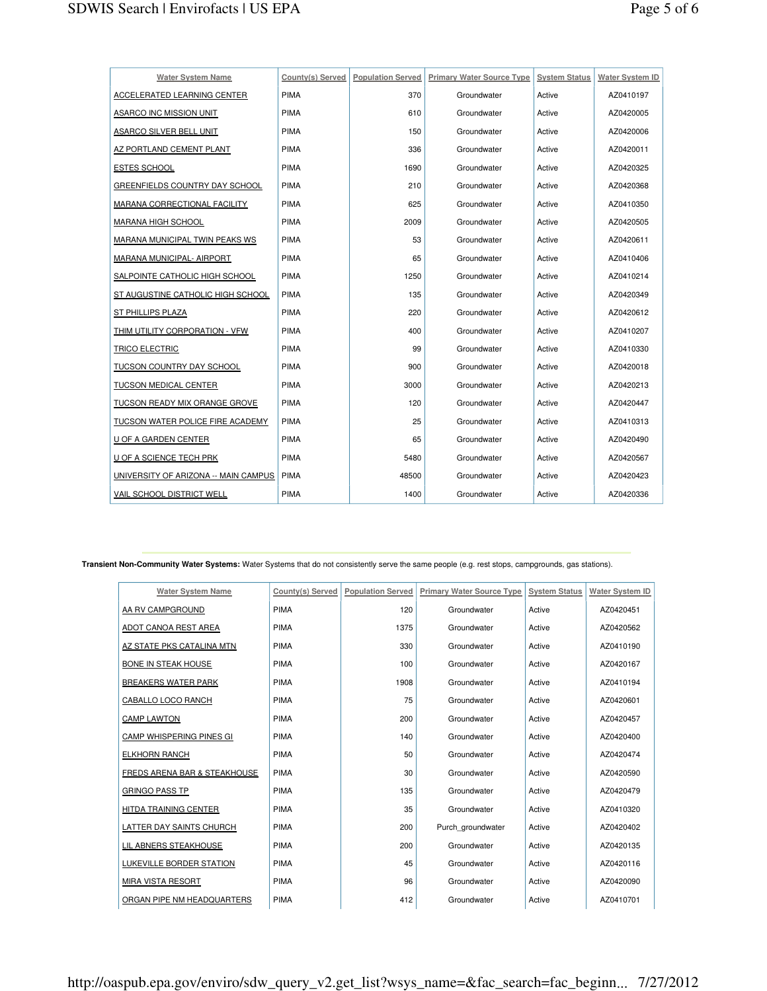| <b>Water System Name</b>             | County(s) Served | <b>Population Served</b> | <b>Primary Water Source Type System Status</b> |        | <b>Water System ID</b> |
|--------------------------------------|------------------|--------------------------|------------------------------------------------|--------|------------------------|
| ACCELERATED LEARNING CENTER          | <b>PIMA</b>      | 370                      | Groundwater                                    | Active | AZ0410197              |
| ASARCO INC MISSION UNIT              | <b>PIMA</b>      | 610                      | Groundwater                                    | Active | AZ0420005              |
| ASARCO SILVER BELL UNIT              | <b>PIMA</b>      | 150                      | Groundwater                                    | Active | AZ0420006              |
| AZ PORTLAND CEMENT PLANT             | <b>PIMA</b>      | 336                      | Groundwater                                    | Active | AZ0420011              |
| <b>ESTES SCHOOL</b>                  | <b>PIMA</b>      | 1690                     | Groundwater                                    | Active | AZ0420325              |
| GREENFIELDS COUNTRY DAY SCHOOL       | <b>PIMA</b>      | 210                      | Groundwater                                    | Active | AZ0420368              |
| MARANA CORRECTIONAL FACILITY         | <b>PIMA</b>      | 625                      | Groundwater                                    | Active | AZ0410350              |
| MARANA HIGH SCHOOL                   | <b>PIMA</b>      | 2009                     | Groundwater                                    | Active | AZ0420505              |
| MARANA MUNICIPAL TWIN PEAKS WS       | <b>PIMA</b>      | 53                       | Groundwater                                    | Active | AZ0420611              |
| MARANA MUNICIPAL- AIRPORT            | <b>PIMA</b>      | 65                       | Groundwater                                    | Active | AZ0410406              |
| SALPOINTE CATHOLIC HIGH SCHOOL       | <b>PIMA</b>      | 1250                     | Groundwater                                    | Active | AZ0410214              |
| ST AUGUSTINE CATHOLIC HIGH SCHOOL    | <b>PIMA</b>      | 135                      | Groundwater                                    | Active | AZ0420349              |
| <b>ST PHILLIPS PLAZA</b>             | <b>PIMA</b>      | 220                      | Groundwater                                    | Active | AZ0420612              |
| THIM UTILITY CORPORATION - VFW       | <b>PIMA</b>      | 400                      | Groundwater                                    | Active | AZ0410207              |
| TRICO ELECTRIC                       | <b>PIMA</b>      | 99                       | Groundwater                                    | Active | AZ0410330              |
| TUCSON COUNTRY DAY SCHOOL            | <b>PIMA</b>      | 900                      | Groundwater                                    | Active | AZ0420018              |
| <b>TUCSON MEDICAL CENTER</b>         | <b>PIMA</b>      | 3000                     | Groundwater                                    | Active | AZ0420213              |
| TUCSON READY MIX ORANGE GROVE        | <b>PIMA</b>      | 120                      | Groundwater                                    | Active | AZ0420447              |
| TUCSON WATER POLICE FIRE ACADEMY     | <b>PIMA</b>      | 25                       | Groundwater                                    | Active | AZ0410313              |
| U OF A GARDEN CENTER                 | <b>PIMA</b>      | 65                       | Groundwater                                    | Active | AZ0420490              |
| U OF A SCIENCE TECH PRK              | <b>PIMA</b>      | 5480                     | Groundwater                                    | Active | AZ0420567              |
| UNIVERSITY OF ARIZONA -- MAIN CAMPUS | <b>PIMA</b>      | 48500                    | Groundwater                                    | Active | AZ0420423              |
| <b>VAIL SCHOOL DISTRICT WELL</b>     | <b>PIMA</b>      | 1400                     | Groundwater                                    | Active | AZ0420336              |

**Transient Non-Community Water Systems:** Water Systems that do not consistently serve the same people (e.g. rest stops, campgrounds, gas stations).

| <b>Water System Name</b>     | County(s) Served | <b>Population Served</b> | <b>Primary Water Source Type</b><br><b>System Status</b> |        | Water System ID |
|------------------------------|------------------|--------------------------|----------------------------------------------------------|--------|-----------------|
| AA RV CAMPGROUND             | PIMA             | 120                      | Groundwater                                              | Active | AZ0420451       |
| ADOT CANOA REST AREA         | <b>PIMA</b>      | 1375                     | Groundwater                                              | Active | AZ0420562       |
| AZ STATE PKS CATALINA MTN    | PIMA             | 330                      | Groundwater                                              | Active | AZ0410190       |
| <b>BONE IN STEAK HOUSE</b>   | <b>PIMA</b>      | 100                      | Groundwater                                              | Active | AZ0420167       |
| <b>BREAKERS WATER PARK</b>   | <b>PIMA</b>      | 1908                     | Groundwater                                              | Active | AZ0410194       |
| CABALLO LOCO RANCH           | PIMA             | 75                       | Groundwater                                              | Active | AZ0420601       |
| <b>CAMP LAWTON</b>           | <b>PIMA</b>      | 200                      | Groundwater                                              | Active | AZ0420457       |
| CAMP WHISPERING PINES GI     | <b>PIMA</b>      | 140                      | Groundwater                                              | Active | AZ0420400       |
| <b>ELKHORN RANCH</b>         | <b>PIMA</b>      | 50                       | Groundwater                                              | Active | AZ0420474       |
| FREDS ARENA BAR & STEAKHOUSE | <b>PIMA</b>      | 30                       | Groundwater                                              | Active | AZ0420590       |
| <b>GRINGO PASS TP</b>        | PIMA             | 135                      | Groundwater                                              | Active | AZ0420479       |
| HITDA TRAINING CENTER        | <b>PIMA</b>      | 35                       | Groundwater                                              | Active | AZ0410320       |
| LATTER DAY SAINTS CHURCH     | PIMA             | 200                      | Purch groundwater                                        | Active | AZ0420402       |
| LIL ABNERS STEAKHOUSE        | <b>PIMA</b>      | 200                      | Groundwater                                              | Active | AZ0420135       |
| LUKEVILLE BORDER STATION     | <b>PIMA</b>      | 45                       | Groundwater                                              | Active | AZ0420116       |
| MIRA VISTA RESORT            | <b>PIMA</b>      | 96                       | Groundwater                                              | Active | AZ0420090       |
| ORGAN PIPE NM HEADQUARTERS   | <b>PIMA</b>      | 412                      | Groundwater                                              | Active | AZ0410701       |